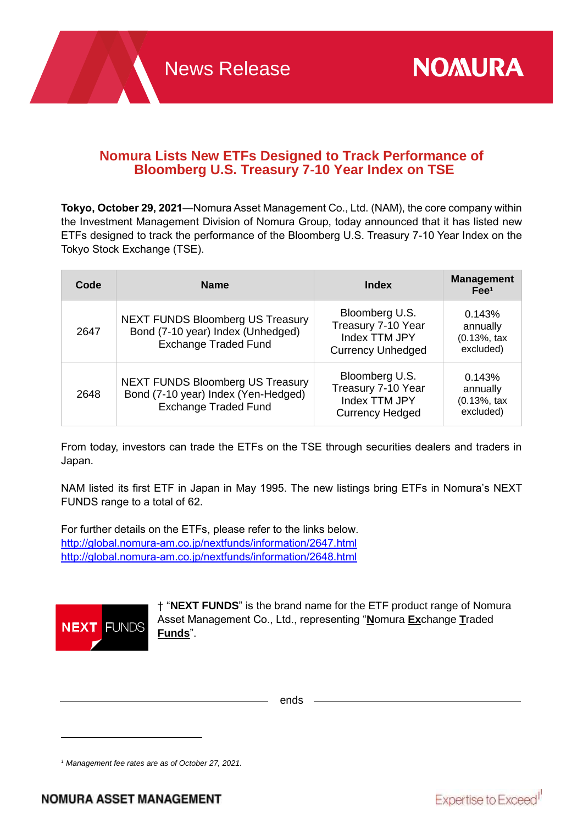# **Nomura Lists New ETFs Designed to Track Performance of Bloomberg U.S. Treasury 7-10 Year Index on TSE**

**Tokyo, October 29, 2021**—Nomura Asset Management Co., Ltd. (NAM), the core company within the Investment Management Division of Nomura Group, today announced that it has listed new ETFs designed to track the performance of the Bloomberg U.S. Treasury 7-10 Year Index on the Tokyo Stock Exchange (TSE).

| Code | <b>Name</b>                                                                                                   | <b>Index</b>                                                                      | <b>Management</b><br>$\mathsf{Fee}^1$                     |
|------|---------------------------------------------------------------------------------------------------------------|-----------------------------------------------------------------------------------|-----------------------------------------------------------|
| 2647 | <b>NEXT FUNDS Bloomberg US Treasury</b><br>Bond (7-10 year) Index (Unhedged)<br><b>Exchange Traded Fund</b>   | Bloomberg U.S.<br>Treasury 7-10 Year<br>Index TTM JPY<br><b>Currency Unhedged</b> | 0.143%<br>annually<br>$(0.13\%, \text{tax})$<br>excluded) |
| 2648 | <b>NEXT FUNDS Bloomberg US Treasury</b><br>Bond (7-10 year) Index (Yen-Hedged)<br><b>Exchange Traded Fund</b> | Bloomberg U.S.<br>Treasury 7-10 Year<br>Index TTM JPY<br><b>Currency Hedged</b>   | 0.143%<br>annually<br>$(0.13\%, \text{tax})$<br>excluded) |

From today, investors can trade the ETFs on the TSE through securities dealers and traders in Japan.

NAM listed its first ETF in Japan in May 1995. The new listings bring ETFs in Nomura's NEXT FUNDS range to a total of 62.

For further details on the ETFs, please refer to the links below. <http://global.nomura-am.co.jp/nextfunds/information/2647.html> <http://global.nomura-am.co.jp/nextfunds/information/2648.html>



 $\overline{a}$ 

† "**NEXT FUNDS**" is the brand name for the ETF product range of Nomura Asset Management Co., Ltd., representing "**N**omura **Ex**change **T**raded **Funds**".

ends

*<sup>1</sup> Management fee rates are as of October 27, 2021.*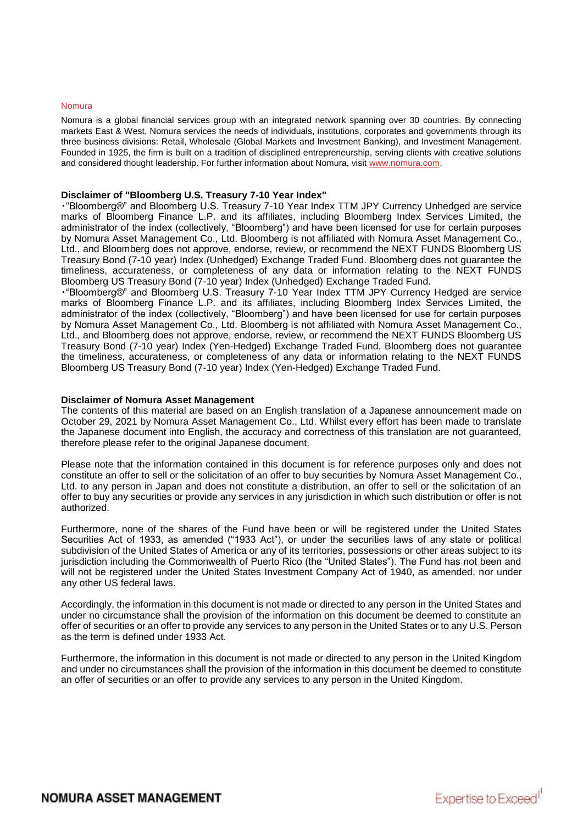### Nomura

Nomura is a global financial services group with an integrated network spanning over 30 countries. By connecting markets East & West, Nomura services the needs of individuals, institutions, corporates and governments through its three business divisions: Retail, Wholesale (Global Markets and Investment Banking), and Investment Management. Founded in 1925, the firm is built on a tradition of disciplined entrepreneurship, serving clients with creative solutions and considered thought leadership. For further information about Nomura, visit [www.nomura.com.](http://www.nomura.com/)

### **Disclaimer of "Bloomberg U.S. Treasury 7-10 Year Index"**

・"Bloomberg®" and Bloomberg U.S. Treasury 7-10 Year Index TTM JPY Currency Unhedged are service marks of Bloomberg Finance L.P. and its affiliates, including Bloomberg Index Services Limited, the administrator of the index (collectively, "Bloomberg") and have been licensed for use for certain purposes by Nomura Asset Management Co., Ltd. Bloomberg is not affiliated with Nomura Asset Management Co., Ltd., and Bloomberg does not approve, endorse, review, or recommend the NEXT FUNDS Bloomberg US Treasury Bond (7-10 year) Index (Unhedged) Exchange Traded Fund. Bloomberg does not guarantee the timeliness, accurateness, or completeness of any data or information relating to the NEXT FUNDS Bloomberg US Treasury Bond (7-10 year) Index (Unhedged) Exchange Traded Fund.

・"Bloomberg®" and Bloomberg U.S. Treasury 7-10 Year Index TTM JPY Currency Hedged are service marks of Bloomberg Finance L.P. and its affiliates, including Bloomberg Index Services Limited, the administrator of the index (collectively, "Bloomberg") and have been licensed for use for certain purposes by Nomura Asset Management Co., Ltd. Bloomberg is not affiliated with Nomura Asset Management Co., Ltd., and Bloomberg does not approve, endorse, review, or recommend the NEXT FUNDS Bloomberg US Treasury Bond (7-10 year) Index (Yen-Hedged) Exchange Traded Fund. Bloomberg does not guarantee the timeliness, accurateness, or completeness of any data or information relating to the NEXT FUNDS Bloomberg US Treasury Bond (7-10 year) Index (Yen-Hedged) Exchange Traded Fund.

### **Disclaimer of Nomura Asset Management**

The contents of this material are based on an English translation of a Japanese announcement made on October 29, 2021 by Nomura Asset Management Co., Ltd. Whilst every effort has been made to translate the Japanese document into English, the accuracy and correctness of this translation are not guaranteed, therefore please refer to the original Japanese document.

Please note that the information contained in this document is for reference purposes only and does not constitute an offer to sell or the solicitation of an offer to buy securities by Nomura Asset Management Co., Ltd. to any person in Japan and does not constitute a distribution, an offer to sell or the solicitation of an offer to buy any securities or provide any services in any jurisdiction in which such distribution or offer is not authorized.

Furthermore, none of the shares of the Fund have been or will be registered under the United States Securities Act of 1933, as amended ("1933 Act"), or under the securities laws of any state or political subdivision of the United States of America or any of its territories, possessions or other areas subject to its jurisdiction including the Commonwealth of Puerto Rico (the "United States"). The Fund has not been and will not be registered under the United States Investment Company Act of 1940, as amended, nor under any other US federal laws.

Accordingly, the information in this document is not made or directed to any person in the United States and under no circumstance shall the provision of the information on this document be deemed to constitute an offer of securities or an offer to provide any services to any person in the United States or to any U.S. Person as the term is defined under 1933 Act.

Furthermore, the information in this document is not made or directed to any person in the United Kingdom and under no circumstances shall the provision of the information in this document be deemed to constitute an offer of securities or an offer to provide any services to any person in the United Kingdom.